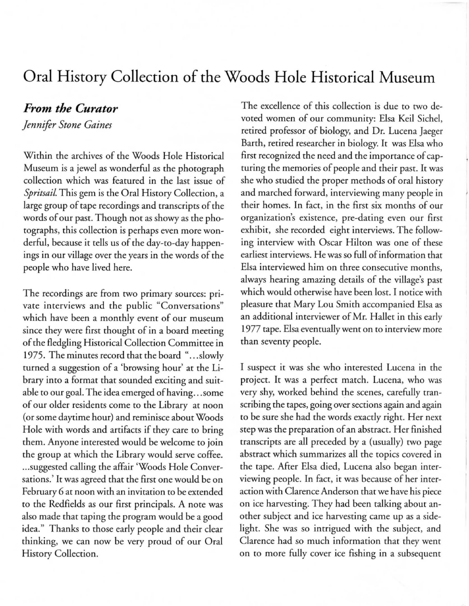## **Oral History Collection of the Woods Hole Historical Museum**

## *From the Curator*

*Jennifer Stone Gaines* 

Within the archives of the Woods Hole Historical Museum is a jewel as wonderful as the photograph collection which was featured in the last issue of *Spritsail.* This gem is the Oral History Collection, a large group of tape recordings and transcripts of the words of our past. Though not as showy as the photographs, this collection is perhaps even more wonderful, because it tells us of the day-to-day happenings in our village over the years in the words of the people who have lived here.

The recordings are from rwo primary sources: private interviews and the public "Conversations" which have been a monthly event of our museum since they were first thought of in a board meeting of the fledgling Historical Collection Committee in 1975. The minutes record that the board "...slowly turned a suggestion of a 'browsing hour' at the Library into a format that sounded exciting and suitable to our goal. The idea emerged of having ... some of our older residents come to the Library at noon (or some daytime hour) and reminisce about Woods Hole with words and artifacts if they care to bring them. Anyone interested would be welcome to join the group at which the Library would serve coffee. ... suggested calling the affair 'Woods Hole Conversations.' It was agreed that the first one would be on February 6 at noon with an invitation to be extended to the Redfields as our first principals. A note was also made that taping the program would be a good idea." Thanks to those early people and their clear thinking, we can now be very proud of our Oral History Collection.

The excellence of this collection is due to rwo devoted women of our community: Elsa Keil Sichel, retired professor of biology, and Dr. Lucena Jaeger Barth, retired researcher in biology. It was Elsa who first recognized the need and the importance of capturing the memories of people and their past. It was she who studied the proper methods of oral history and marched forward, interviewing many people in their homes. In fact, in the first six months of our organization's existence, pre-dating even our first exhibit, she recorded eight interviews. The following interview with Oscar Hilton was one of these earliest in terviews. He was so full of information that Elsa interviewed him on three consecutive months, always hearing amazing details of the village's past which would otherwise have been lost. I notice with pleasure that Mary Lou Smith accompanied Elsa as an additional interviewer of Mr. Hallet in this early 1977 tape. Elsa eventually went on to interview more than seventy people.

I suspect it was she who interested Lucena in the project. It was a perfect match. Lucena, who was very shy, worked behind the scenes, carefully transcribing the tapes, going over sections again and again to be sure she had the words exactly right. Her next step was the preparation of an abstract. Her finished transcripts are all preceded by a (usually) rwo page abstract which summarizes all the topics covered in the tape. After Elsa died, Lucena also began interviewing people. In fact, it was because of her interaction with Clarence Anderson that we have his piece on ice harvesting. They had been talking about another subject and ice harvesting came up as a sidelight. She was so intrigued with the subject, and Clarence had so much information that they went on to more fully cover ice fishing in a subsequent